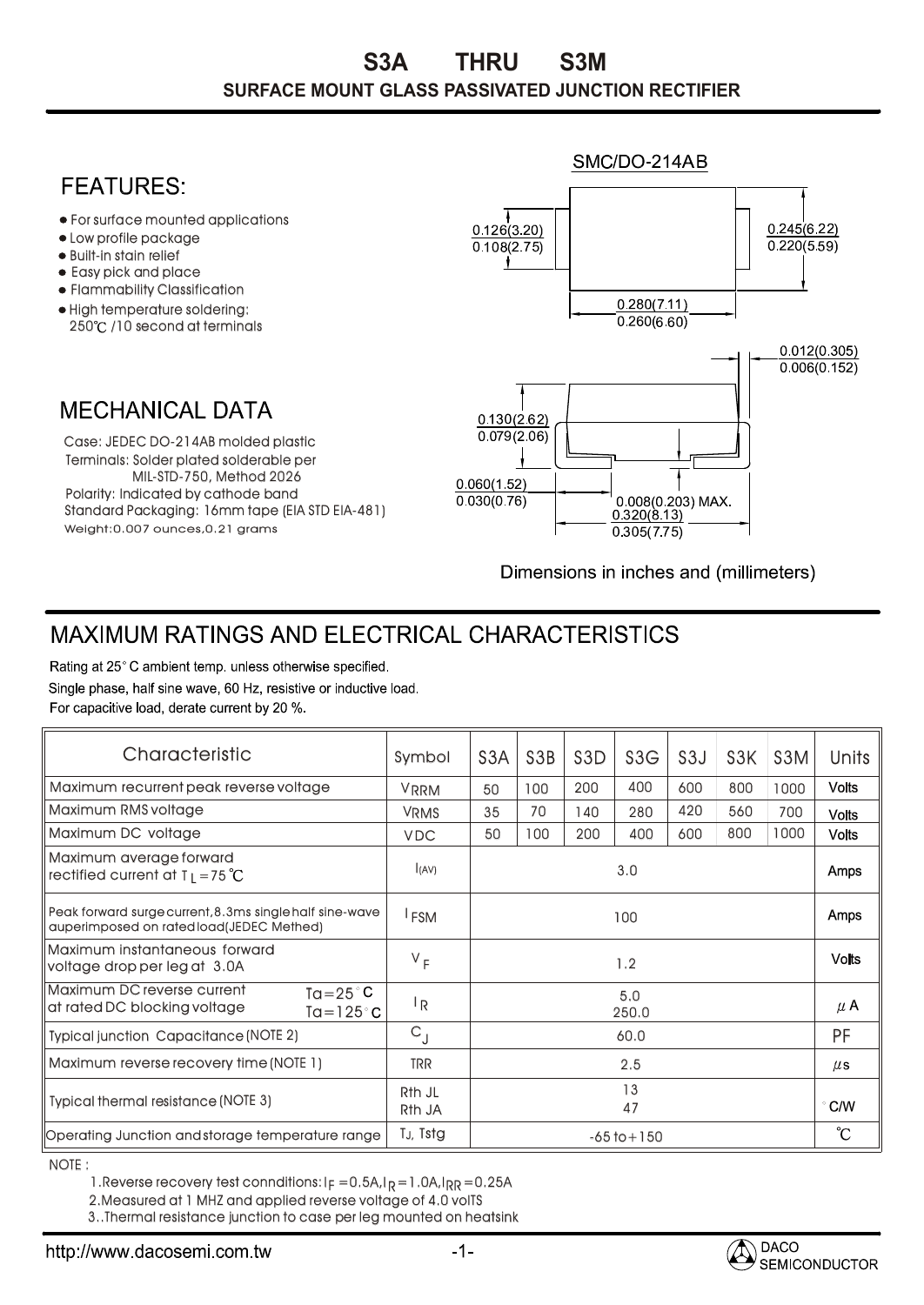## SMC/DO-214AB **FFATURFS** For surface mounted applications  $0.245(6.22)$  $0.126(3.20)$ Low profile package  $0.220(5.59)$  $\overline{0.108(2.75)}$ • Built-in stain relief t Easy pick and place Flammability Classification  $0.280(7.11)$ High temperature soldering:  $0.260(6.60)$ 250℃ /10 second at terminals  $0.012(0.305)$  $0.006(0.152)$ **MECHANICAL DATA**  $0.130(2.62)$  $0.079(2.06)$ Case: JEDEC DO-214AB molded plastic Terminals: Solder plated solderable per MIL-STD-750, Method 2026  $0.060(1.52)$ Polarity: Indicated by cathode band  $0.030(0.76)$ 0.008(0.203) MAX. Standard Packaging: 16mm tape (EIA STD EIA-481)  $0.320(8.13)$ Weight:0.007 ounces,0.21 grams  $0.305(7.75)$

Dimensions in inches and (millimeters)

## **MAXIMUM RATINGS AND ELECTRICAL CHARACTERISTICS**

Rating at 25°C ambient temp. unless otherwise specified. Single phase, half sine wave, 60 Hz, resistive or inductive load. For capacitive load, derate current by 20 %.

| Characteristic                                                                                     | Symbol                       | S <sub>3</sub> A | S <sub>3</sub> B | S <sub>3</sub> D | S3G | S <sub>3</sub> J | S <sub>3</sub> K | S <sub>3</sub> M | Units             |
|----------------------------------------------------------------------------------------------------|------------------------------|------------------|------------------|------------------|-----|------------------|------------------|------------------|-------------------|
| Maximum recurrent peak reverse voltage                                                             | <b>VRRM</b>                  | 50               | 100              | 200              | 400 | 600              | 800              | 1000             | <b>Volts</b>      |
| Maximum RMS voltage                                                                                | <b>VRMS</b>                  | 35               | 70               | 140.             | 280 | 420              | 560              | 700              | <b>Volts</b>      |
| Maximum DC voltage                                                                                 | <b>VDC</b>                   | 50               | 100              | 200              | 400 | 600              | 800              | 1000             | <b>Volts</b>      |
| Maximum average forward<br>rectified current at $T_1 = 75^{\circ}C$                                | l(AV)                        | 3.0              |                  |                  |     |                  |                  |                  | Amps              |
| Peak forward surge current, 8.3ms single half sine-wave<br>auperImposed on ratedload(JEDEC Methed) | <sup>I</sup> FSM             | 100              |                  |                  |     |                  |                  |                  | Amps              |
| Maximum instantaneous forward<br>voltage drop per leg at 3.0A                                      | $V_F$                        | 1.2              |                  |                  |     |                  |                  |                  | <b>Volts</b>      |
| Maximum DC reverse current<br>Ta=25 $^{\circ}$ C<br>at rated DC blocking voltage<br>Ta=125°C       | <sup> </sup> R               | 5.0<br>250.0     |                  |                  |     |                  |                  |                  | $\mu$ A           |
| <b>Typical junction Capacitance (NOTE 2)</b>                                                       | $C_{J}$                      | 60.0             |                  |                  |     |                  |                  |                  | <b>PF</b>         |
| Maximum reverse recovery time (NOTE 1)                                                             | trr                          | 2.5              |                  |                  |     |                  |                  |                  | $\mu$ s           |
| Typical thermal resistance (NOTE 3)                                                                | R <sub>th</sub> JL<br>Rth JA | 13<br>47         |                  |                  |     |                  |                  |                  | $\degree$ C/W     |
| Operating Junction and storage temperature range                                                   | TJ, Tstg                     | $-65$ to $+150$  |                  |                  |     |                  |                  |                  | $\rm ^{\circ}\!C$ |

NOTE :

1.Reverse recovery test connditions: I $_{\mathsf{F}}$  =0.5A,I $_{\mathsf{R}}$ =1.0A,I $_{\mathsf{RR}}$ =0.25A

2.Measured at 1 MHZ and applied reverse voltage of 4.0 volTS

3..Thermal resistance junction to case per leg mounted on heatsink